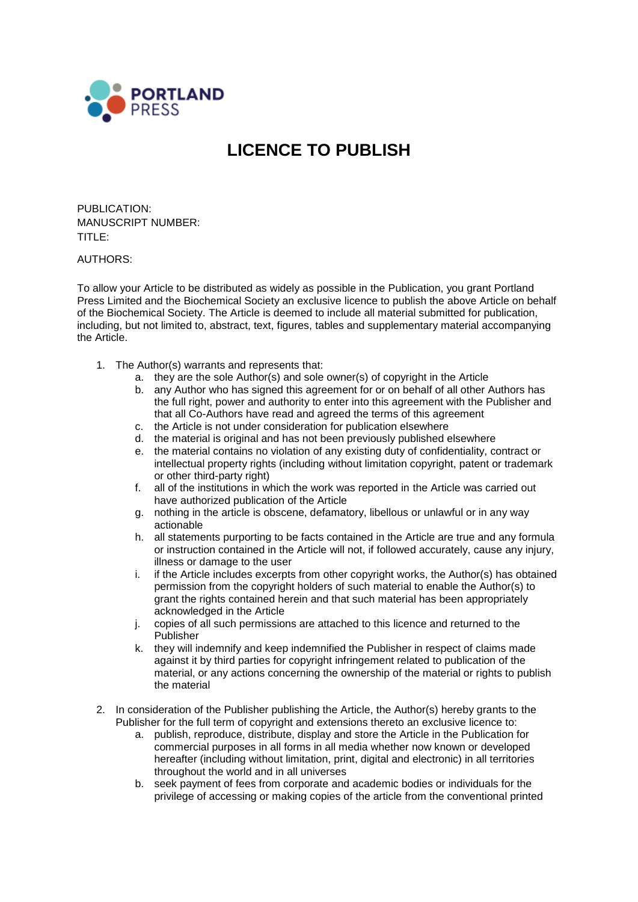

## **LICENCE TO PUBLISH**

PUBLICATION: MANUSCRIPT NUMBER: TITLE:

AUTHORS:

To allow your Article to be distributed as widely as possible in the Publication, you grant Portland Press Limited and the Biochemical Society an exclusive licence to publish the above Article on behalf of the Biochemical Society. The Article is deemed to include all material submitted for publication, including, but not limited to, abstract, text, figures, tables and supplementary material accompanying the Article.

- 1. The Author(s) warrants and represents that:
	- a. they are the sole Author(s) and sole owner(s) of copyright in the Article
	- b. any Author who has signed this agreement for or on behalf of all other Authors has the full right, power and authority to enter into this agreement with the Publisher and that all Co-Authors have read and agreed the terms of this agreement
	- c. the Article is not under consideration for publication elsewhere
	- d. the material is original and has not been previously published elsewhere
	- e. the material contains no violation of any existing duty of confidentiality, contract or intellectual property rights (including without limitation copyright, patent or trademark or other third-party right)
	- f. all of the institutions in which the work was reported in the Article was carried out have authorized publication of the Article
	- g. nothing in the article is obscene, defamatory, libellous or unlawful or in any way actionable
	- h. all statements purporting to be facts contained in the Article are true and any formula or instruction contained in the Article will not, if followed accurately, cause any injury, illness or damage to the user
	- i. if the Article includes excerpts from other copyright works, the Author(s) has obtained permission from the copyright holders of such material to enable the Author(s) to grant the rights contained herein and that such material has been appropriately acknowledged in the Article
	- j. copies of all such permissions are attached to this licence and returned to the Publisher
	- k. they will indemnify and keep indemnified the Publisher in respect of claims made against it by third parties for copyright infringement related to publication of the material, or any actions concerning the ownership of the material or rights to publish the material
- 2. In consideration of the Publisher publishing the Article, the Author(s) hereby grants to the Publisher for the full term of copyright and extensions thereto an exclusive licence to:
	- a. publish, reproduce, distribute, display and store the Article in the Publication for commercial purposes in all forms in all media whether now known or developed hereafter (including without limitation, print, digital and electronic) in all territories throughout the world and in all universes
	- b. seek payment of fees from corporate and academic bodies or individuals for the privilege of accessing or making copies of the article from the conventional printed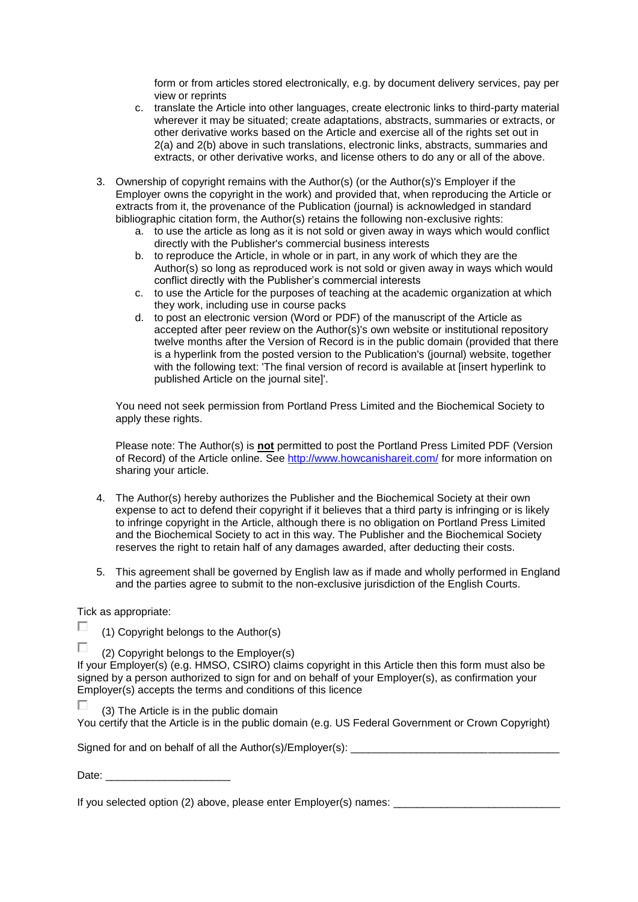form or from articles stored electronically, e.g. by document delivery services, pay per view or reprints

- c. translate the Article into other languages, create electronic links to third-party material wherever it may be situated; create adaptations, abstracts, summaries or extracts, or other derivative works based on the Article and exercise all of the rights set out in 2(a) and 2(b) above in such translations, electronic links, abstracts, summaries and extracts, or other derivative works, and license others to do any or all of the above.
- 3. Ownership of copyright remains with the Author(s) (or the Author(s)'s Employer if the Employer owns the copyright in the work) and provided that, when reproducing the Article or extracts from it, the provenance of the Publication (journal) is acknowledged in standard bibliographic citation form, the Author(s) retains the following non-exclusive rights:
	- a. to use the article as long as it is not sold or given away in ways which would conflict directly with the Publisher's commercial business interests
	- b. to reproduce the Article, in whole or in part, in any work of which they are the Author(s) so long as reproduced work is not sold or given away in ways which would conflict directly with the Publisher's commercial interests
	- c. to use the Article for the purposes of teaching at the academic organization at which they work, including use in course packs
	- d. to post an electronic version (Word or PDF) of the manuscript of the Article as accepted after peer review on the Author(s)'s own website or institutional repository twelve months after the Version of Record is in the public domain (provided that there is a hyperlink from the posted version to the Publication's (journal) website, together with the following text: 'The final version of record is available at [insert hyperlink to published Article on the journal site]'.

You need not seek permission from Portland Press Limited and the Biochemical Society to apply these rights.

Please note: The Author(s) is **not** permitted to post the Portland Press Limited PDF (Version of Record) of the Article online. See<http://www.howcanishareit.com/> for more information on sharing your article.

- 4. The Author(s) hereby authorizes the Publisher and the Biochemical Society at their own expense to act to defend their copyright if it believes that a third party is infringing or is likely to infringe copyright in the Article, although there is no obligation on Portland Press Limited and the Biochemical Society to act in this way. The Publisher and the Biochemical Society reserves the right to retain half of any damages awarded, after deducting their costs.
- 5. This agreement shall be governed by English law as if made and wholly performed in England and the parties agree to submit to the non-exclusive jurisdiction of the English Courts.

## Tick as appropriate:

 $\Box$ 

П

| (1) Copyright belongs to the Author(s) |  |  |
|----------------------------------------|--|--|

(2) Copyright belongs to the Employer(s)

If your Employer(s) (e.g. HMSO, CSIRO) claims copyright in this Article then this form must also be signed by a person authorized to sign for and on behalf of your Employer(s), as confirmation your Employer(s) accepts the terms and conditions of this licence

П. (3) The Article is in the public domain You certify that the Article is in the public domain (e.g. US Federal Government or Crown Copyright)

Signed for and on behalf of all the Author(s)/ $Employer(s)$ :

Date:  $\Box$ 

If you selected option (2) above, please enter Employer(s) names: \_\_\_\_\_\_\_\_\_\_\_\_\_\_\_\_\_\_\_\_\_\_\_\_\_\_\_\_